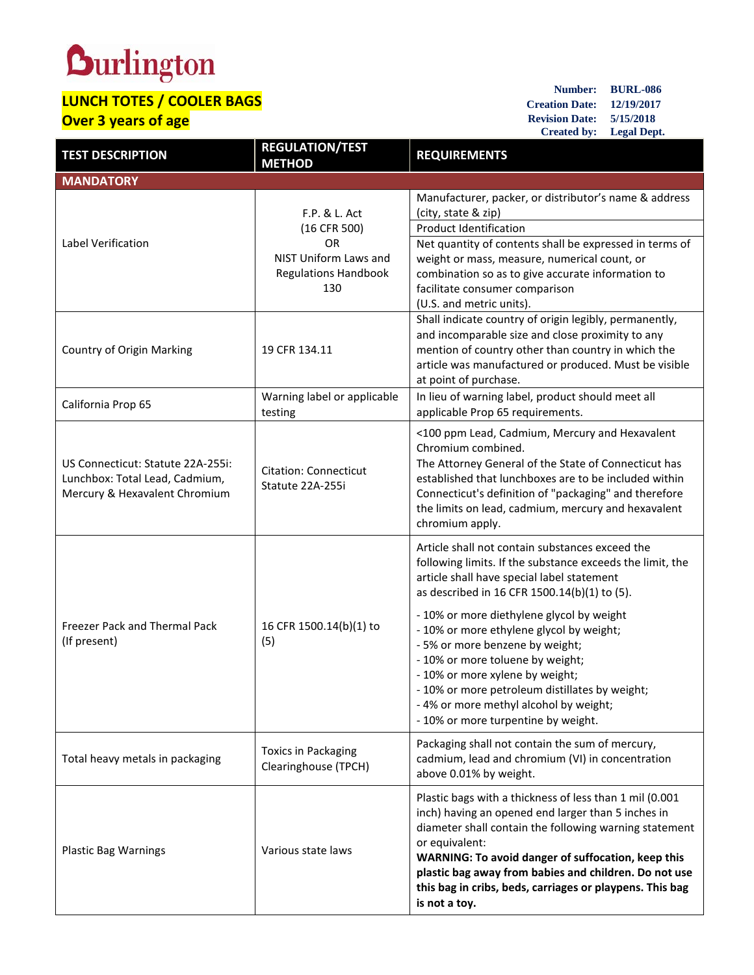## **Durlington**

## **LUNCH TOTES / COOLER BAGS Over 3 years of age**

**Number: BURL-086 Creation Date: 12/19/2017 Revision Date: 5/15/2018 Created by: Legal Dept.**

| <b>TEST DESCRIPTION</b>           | <b>REGULATION/TEST</b><br><b>METHOD</b>              | <b>REQUIREMENTS</b>                                                                                           |  |
|-----------------------------------|------------------------------------------------------|---------------------------------------------------------------------------------------------------------------|--|
| <b>MANDATORY</b>                  |                                                      |                                                                                                               |  |
| Label Verification                | F.P. & L. Act<br>(16 CFR 500)                        | Manufacturer, packer, or distributor's name & address<br>(city, state & zip)                                  |  |
|                                   |                                                      | <b>Product Identification</b>                                                                                 |  |
|                                   | <b>OR</b>                                            | Net quantity of contents shall be expressed in terms of                                                       |  |
|                                   | NIST Uniform Laws and<br><b>Regulations Handbook</b> | weight or mass, measure, numerical count, or<br>combination so as to give accurate information to             |  |
|                                   | 130                                                  | facilitate consumer comparison                                                                                |  |
|                                   |                                                      | (U.S. and metric units).                                                                                      |  |
| Country of Origin Marking         | 19 CFR 134.11                                        | Shall indicate country of origin legibly, permanently,                                                        |  |
|                                   |                                                      | and incomparable size and close proximity to any<br>mention of country other than country in which the        |  |
|                                   |                                                      | article was manufactured or produced. Must be visible                                                         |  |
|                                   |                                                      | at point of purchase.                                                                                         |  |
| California Prop 65                | Warning label or applicable                          | In lieu of warning label, product should meet all                                                             |  |
|                                   | testing                                              | applicable Prop 65 requirements.                                                                              |  |
|                                   |                                                      | <100 ppm Lead, Cadmium, Mercury and Hexavalent                                                                |  |
| US Connecticut: Statute 22A-255i: |                                                      | Chromium combined.                                                                                            |  |
| Lunchbox: Total Lead, Cadmium,    | <b>Citation: Connecticut</b>                         | The Attorney General of the State of Connecticut has<br>established that lunchboxes are to be included within |  |
| Mercury & Hexavalent Chromium     | Statute 22A-255i                                     | Connecticut's definition of "packaging" and therefore                                                         |  |
|                                   |                                                      | the limits on lead, cadmium, mercury and hexavalent                                                           |  |
|                                   |                                                      | chromium apply.                                                                                               |  |
|                                   | 16 CFR 1500.14(b)(1) to<br>(5)                       | Article shall not contain substances exceed the                                                               |  |
|                                   |                                                      | following limits. If the substance exceeds the limit, the<br>article shall have special label statement       |  |
|                                   |                                                      | as described in 16 CFR 1500.14(b)(1) to (5).                                                                  |  |
|                                   |                                                      | - 10% or more diethylene glycol by weight                                                                     |  |
| Freezer Pack and Thermal Pack     |                                                      | - 10% or more ethylene glycol by weight;                                                                      |  |
| (If present)                      |                                                      | - 5% or more benzene by weight;                                                                               |  |
|                                   |                                                      | - 10% or more toluene by weight;                                                                              |  |
|                                   |                                                      | - 10% or more xylene by weight;<br>10% or more petroleum distillates by weight;                               |  |
|                                   |                                                      | -4% or more methyl alcohol by weight;                                                                         |  |
|                                   |                                                      | - 10% or more turpentine by weight.                                                                           |  |
|                                   |                                                      | Packaging shall not contain the sum of mercury,                                                               |  |
| Total heavy metals in packaging   | <b>Toxics in Packaging</b><br>Clearinghouse (TPCH)   | cadmium, lead and chromium (VI) in concentration                                                              |  |
|                                   |                                                      | above 0.01% by weight.                                                                                        |  |
| <b>Plastic Bag Warnings</b>       | Various state laws                                   | Plastic bags with a thickness of less than 1 mil (0.001                                                       |  |
|                                   |                                                      | inch) having an opened end larger than 5 inches in<br>diameter shall contain the following warning statement  |  |
|                                   |                                                      | or equivalent:                                                                                                |  |
|                                   |                                                      | WARNING: To avoid danger of suffocation, keep this                                                            |  |
|                                   |                                                      | plastic bag away from babies and children. Do not use                                                         |  |
|                                   |                                                      | this bag in cribs, beds, carriages or playpens. This bag<br>is not a toy.                                     |  |
|                                   |                                                      |                                                                                                               |  |